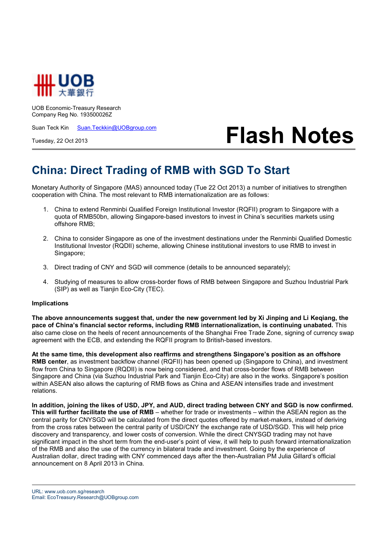

UOB Economic-Treasury Research Company Reg No. 193500026Z

Suan Teck Kin Suan.Teckkin@UOBgroup.com

Tuesday, 22 Oct 2013

## **Flash Notes**

## **China: Direct Trading of RMB with SGD To Start**

Monetary Authority of Singapore (MAS) announced today (Tue 22 Oct 2013) a number of initiatives to strengthen cooperation with China. The most relevant to RMB internationalization are as follows:

- 1. China to extend Renminbi Qualified Foreign Institutional Investor (RQFII) program to Singapore with a quota of RMB50bn, allowing Singapore-based investors to invest in China's securities markets using offshore RMB;
- 2. China to consider Singapore as one of the investment destinations under the Renminbi Qualified Domestic Institutional Investor (RQDII) scheme, allowing Chinese institutional investors to use RMB to invest in Singapore;
- 3. Direct trading of CNY and SGD will commence (details to be announced separately);
- 4. Studying of measures to allow cross-border flows of RMB between Singapore and Suzhou Industrial Park (SIP) as well as Tianjin Eco-City (TEC).

## **Implications**

**The above announcements suggest that, under the new government led by Xi Jinping and Li Keqiang, the pace of China's financial sector reforms, including RMB internationalization, is continuing unabated.** This also came close on the heels of recent announcements of the Shanghai Free Trade Zone, signing of currency swap agreement with the ECB, and extending the RQFII program to British-based investors.

**At the same time, this development also reaffirms and strengthens Singapore's position as an offshore RMB center**, as investment backflow channel (RQFII) has been opened up (Singapore to China), and investment flow from China to Singapore (RQDII) is now being considered, and that cross-border flows of RMB between Singapore and China (via Suzhou Industrial Park and Tianjin Eco-City) are also in the works. Singapore's position within ASEAN also allows the capturing of RMB flows as China and ASEAN intensifies trade and investment relations.

**In addition, joining the likes of USD, JPY, and AUD, direct trading between CNY and SGD is now confirmed. This will further facilitate the use of RMB** – whether for trade or investments – within the ASEAN region as the central parity for CNYSGD will be calculated from the direct quotes offered by market-makers, instead of deriving from the cross rates between the central parity of USD/CNY the exchange rate of USD/SGD. This will help price discovery and transparency, and lower costs of conversion. While the direct CNYSGD trading may not have significant impact in the short term from the end-user's point of view, it will help to push forward internationalization of the RMB and also the use of the currency in bilateral trade and investment. Going by the experience of Australian dollar, direct trading with CNY commenced days after the then-Australian PM Julia Gillard's official announcement on 8 April 2013 in China.